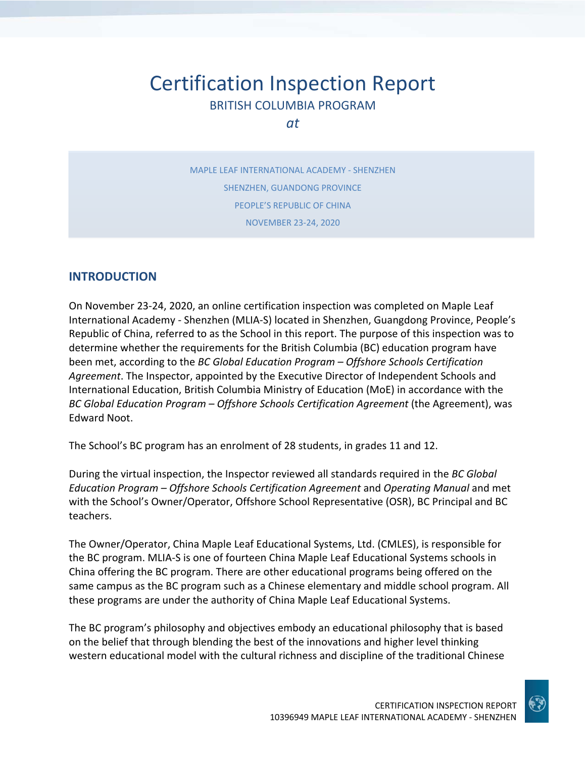# Certification Inspection Report BRITISH COLUMBIA PROGRAM

*at*

MAPLE LEAF INTERNATIONAL ACADEMY ‐ SHENZHEN SHENZHEN, GUANDONG PROVINCE PEOPLE'S REPUBLIC OF CHINA NOVEMBER 23‐24, 2020

## **INTRODUCTION**

On November 23‐24, 2020, an online certification inspection was completed on Maple Leaf International Academy ‐ Shenzhen (MLIA‐S) located in Shenzhen, Guangdong Province, People's Republic of China, referred to as the School in this report. The purpose of this inspection was to determine whether the requirements for the British Columbia (BC) education program have been met, according to the *BC Global Education Program – Offshore Schools Certification Agreement*. The Inspector, appointed by the Executive Director of Independent Schools and International Education, British Columbia Ministry of Education (MoE) in accordance with the *BC Global Education Program – Offshore Schools Certification Agreement* (the Agreement), was Edward Noot.

The School's BC program has an enrolment of 28 students, in grades 11 and 12.

During the virtual inspection, the Inspector reviewed all standards required in the *BC Global Education Program – Offshore Schools Certification Agreement* and *Operating Manual* and met with the School's Owner/Operator, Offshore School Representative (OSR), BC Principal and BC teachers.

The Owner/Operator, China Maple Leaf Educational Systems, Ltd. (CMLES), is responsible for the BC program. MLIA‐S is one of fourteen China Maple Leaf Educational Systems schools in China offering the BC program. There are other educational programs being offered on the same campus as the BC program such as a Chinese elementary and middle school program. All these programs are under the authority of China Maple Leaf Educational Systems.

The BC program's philosophy and objectives embody an educational philosophy that is based on the belief that through blending the best of the innovations and higher level thinking western educational model with the cultural richness and discipline of the traditional Chinese

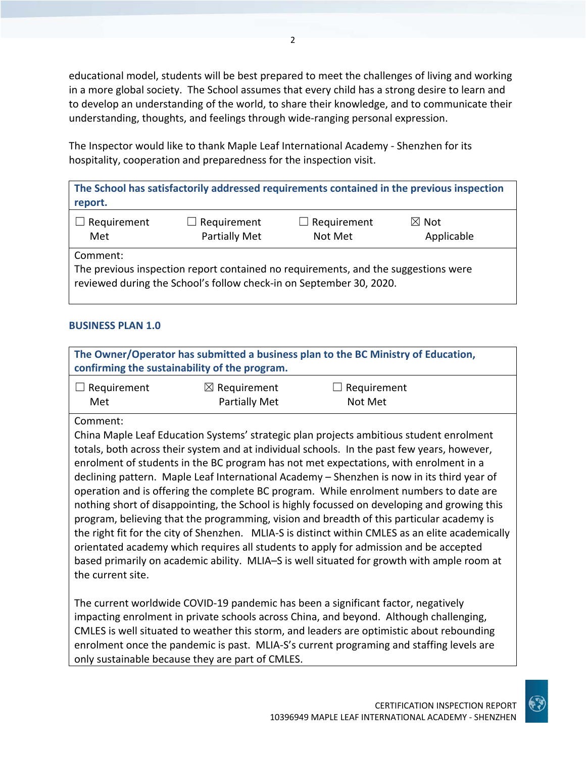educational model, students will be best prepared to meet the challenges of living and working in a more global society. The School assumes that every child has a strong desire to learn and to develop an understanding of the world, to share their knowledge, and to communicate their understanding, thoughts, and feelings through wide‐ranging personal expression.

The Inspector would like to thank Maple Leaf International Academy ‐ Shenzhen for its hospitality, cooperation and preparedness for the inspection visit.

**The School has satisfactorily addressed requirements contained in the previous inspection report.**

| $\Box$ Requirement | $\boxtimes$ Not    |
|--------------------|--------------------|
| $\Box$ Requirement | $\Box$ Requirement |
| Partially Met      | Applicable         |
| Met                | Not Met            |

Comment:

The previous inspection report contained no requirements, and the suggestions were reviewed during the School's follow check‐in on September 30, 2020.

#### **BUSINESS PLAN 1.0**

**The Owner/Operator has submitted a business plan to the BC Ministry of Education, confirming the sustainability of the program.**

| $\Box$ Requirement | $\boxtimes$ Requirement | $\Box$ Requirement |  |
|--------------------|-------------------------|--------------------|--|
| Met                | <b>Partially Met</b>    | Not Met            |  |

Comment:

China Maple Leaf Education Systems' strategic plan projects ambitious student enrolment totals, both across their system and at individual schools. In the past few years, however, enrolment of students in the BC program has not met expectations, with enrolment in a declining pattern. Maple Leaf International Academy – Shenzhen is now in its third year of operation and is offering the complete BC program. While enrolment numbers to date are nothing short of disappointing, the School is highly focussed on developing and growing this program, believing that the programming, vision and breadth of this particular academy is the right fit for the city of Shenzhen. MLIA‐S is distinct within CMLES as an elite academically orientated academy which requires all students to apply for admission and be accepted based primarily on academic ability. MLIA–S is well situated for growth with ample room at the current site.

The current worldwide COVID‐19 pandemic has been a significant factor, negatively impacting enrolment in private schools across China, and beyond. Although challenging, CMLES is well situated to weather this storm, and leaders are optimistic about rebounding enrolment once the pandemic is past. MLIA‐S's current programing and staffing levels are only sustainable because they are part of CMLES.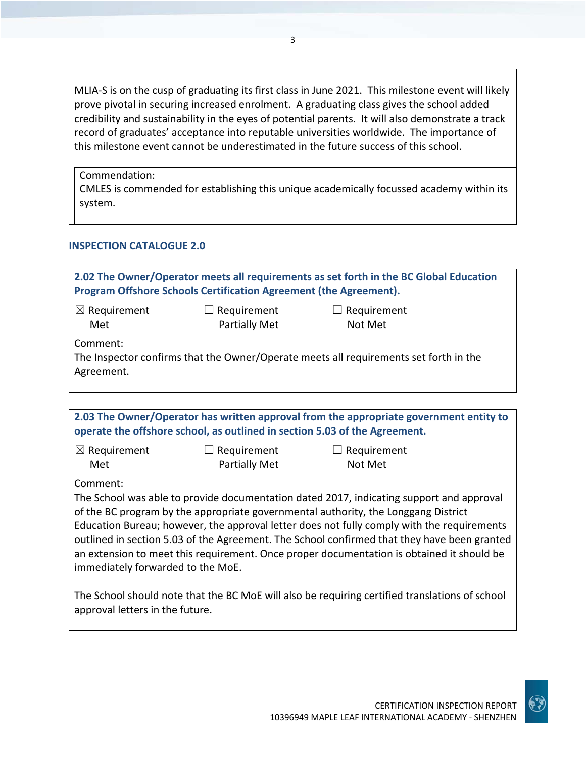MLIA‐S is on the cusp of graduating its first class in June 2021. This milestone event will likely prove pivotal in securing increased enrolment. A graduating class gives the school added credibility and sustainability in the eyes of potential parents. It will also demonstrate a track record of graduates' acceptance into reputable universities worldwide. The importance of this milestone event cannot be underestimated in the future success of this school.

Commendation:

CMLES is commended for establishing this unique academically focussed academy within its system.

#### **INSPECTION CATALOGUE 2.0**

| 2.02 The Owner/Operator meets all requirements as set forth in the BC Global Education<br>Program Offshore Schools Certification Agreement (the Agreement). |  |  |  |
|-------------------------------------------------------------------------------------------------------------------------------------------------------------|--|--|--|
| $\boxtimes$ Requirement<br>Requirement<br>$\Box$ Requirement<br>ப<br>Partially Met<br>Not Met<br>Met                                                        |  |  |  |
| Comment:<br>The Inspector confirms that the Owner/Operate meets all requirements set forth in the<br>Agreement.                                             |  |  |  |

**2.03 The Owner/Operator has written approval from the appropriate government entity to operate the offshore school, as outlined in section 5.03 of the Agreement.**

| $\boxtimes$ Requirement | $\Box$ Requirement   | $\Box$ Requirement |
|-------------------------|----------------------|--------------------|
| Met                     | <b>Partially Met</b> | Not Met            |

Comment:

The School was able to provide documentation dated 2017, indicating support and approval of the BC program by the appropriate governmental authority, the Longgang District Education Bureau; however, the approval letter does not fully comply with the requirements outlined in section 5.03 of the Agreement. The School confirmed that they have been granted an extension to meet this requirement. Once proper documentation is obtained it should be immediately forwarded to the MoE.

The School should note that the BC MoE will also be requiring certified translations of school approval letters in the future.

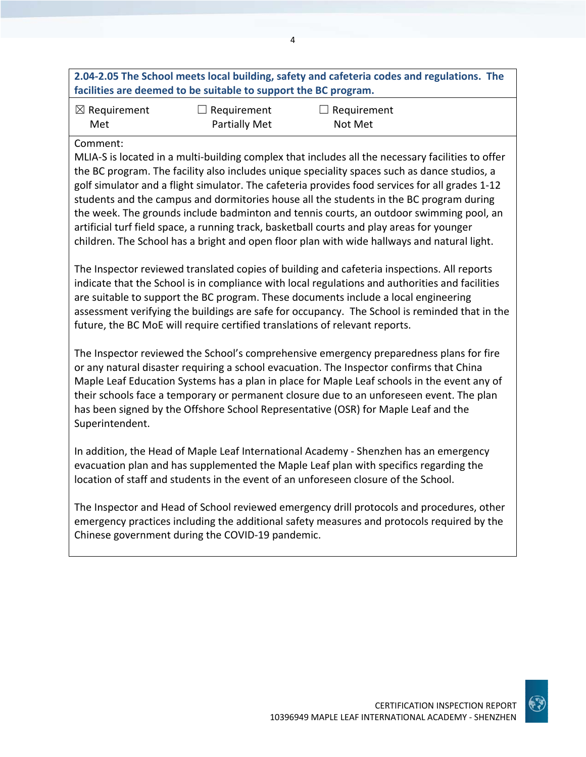| 2.04-2.05 The School meets local building, safety and cafeteria codes and regulations. The |  |
|--------------------------------------------------------------------------------------------|--|
| facilities are deemed to be suitable to support the BC program.                            |  |

| $\boxtimes$ Requirement | $\Box$ Requirement   | $\Box$ Requirement |
|-------------------------|----------------------|--------------------|
| Met                     | <b>Partially Met</b> | Not Met            |

#### Comment:

MLIA‐S is located in a multi‐building complex that includes all the necessary facilities to offer the BC program. The facility also includes unique speciality spaces such as dance studios, a golf simulator and a flight simulator. The cafeteria provides food services for all grades 1‐12 students and the campus and dormitories house all the students in the BC program during the week. The grounds include badminton and tennis courts, an outdoor swimming pool, an artificial turf field space, a running track, basketball courts and play areas for younger children. The School has a bright and open floor plan with wide hallways and natural light.

The Inspector reviewed translated copies of building and cafeteria inspections. All reports indicate that the School is in compliance with local regulations and authorities and facilities are suitable to support the BC program. These documents include a local engineering assessment verifying the buildings are safe for occupancy. The School is reminded that in the future, the BC MoE will require certified translations of relevant reports.

The Inspector reviewed the School's comprehensive emergency preparedness plans for fire or any natural disaster requiring a school evacuation. The Inspector confirms that China Maple Leaf Education Systems has a plan in place for Maple Leaf schools in the event any of their schools face a temporary or permanent closure due to an unforeseen event. The plan has been signed by the Offshore School Representative (OSR) for Maple Leaf and the Superintendent.

In addition, the Head of Maple Leaf International Academy ‐ Shenzhen has an emergency evacuation plan and has supplemented the Maple Leaf plan with specifics regarding the location of staff and students in the event of an unforeseen closure of the School.

The Inspector and Head of School reviewed emergency drill protocols and procedures, other emergency practices including the additional safety measures and protocols required by the Chinese government during the COVID‐19 pandemic.

10396949 MAPLE LEAF INTERNATIONAL ACADEMY ‐ SHENZHEN

CERTIFICATION INSPECTION REPORT

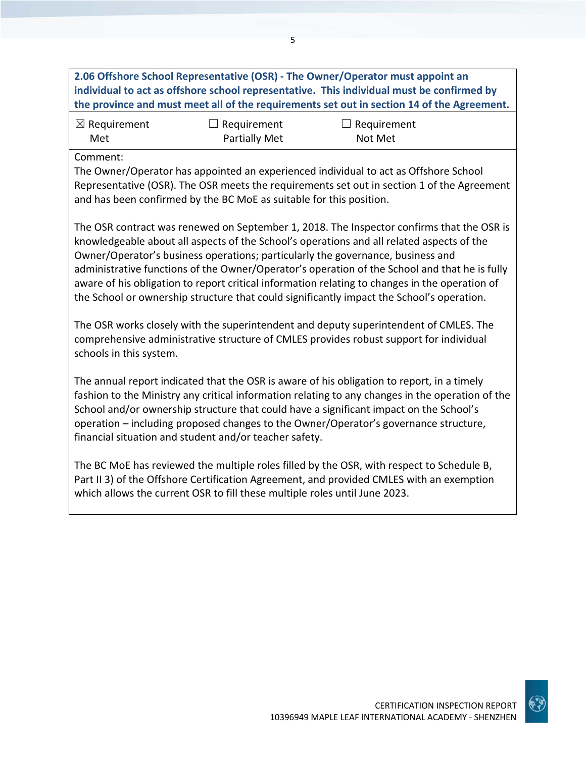**2.06 Offshore School Representative (OSR) ‐ The Owner/Operator must appoint an individual to act as offshore school representative. This individual must be confirmed by the province and must meet all of the requirements set out in section 14 of the Agreement.**

5

| $\boxtimes$ Requirement | $\Box$ Requirement   | $\Box$ Requirement |
|-------------------------|----------------------|--------------------|
| Met                     | <b>Partially Met</b> | Not Met            |

Comment:

The Owner/Operator has appointed an experienced individual to act as Offshore School Representative (OSR). The OSR meets the requirements set out in section 1 of the Agreement and has been confirmed by the BC MoE as suitable for this position.

The OSR contract was renewed on September 1, 2018. The Inspector confirms that the OSR is knowledgeable about all aspects of the School's operations and all related aspects of the Owner/Operator's business operations; particularly the governance, business and administrative functions of the Owner/Operator's operation of the School and that he is fully aware of his obligation to report critical information relating to changes in the operation of the School or ownership structure that could significantly impact the School's operation.

The OSR works closely with the superintendent and deputy superintendent of CMLES. The comprehensive administrative structure of CMLES provides robust support for individual schools in this system.

The annual report indicated that the OSR is aware of his obligation to report, in a timely fashion to the Ministry any critical information relating to any changes in the operation of the School and/or ownership structure that could have a significant impact on the School's operation – including proposed changes to the Owner/Operator's governance structure, financial situation and student and/or teacher safety.

The BC MoE has reviewed the multiple roles filled by the OSR, with respect to Schedule B, Part II 3) of the Offshore Certification Agreement, and provided CMLES with an exemption which allows the current OSR to fill these multiple roles until June 2023.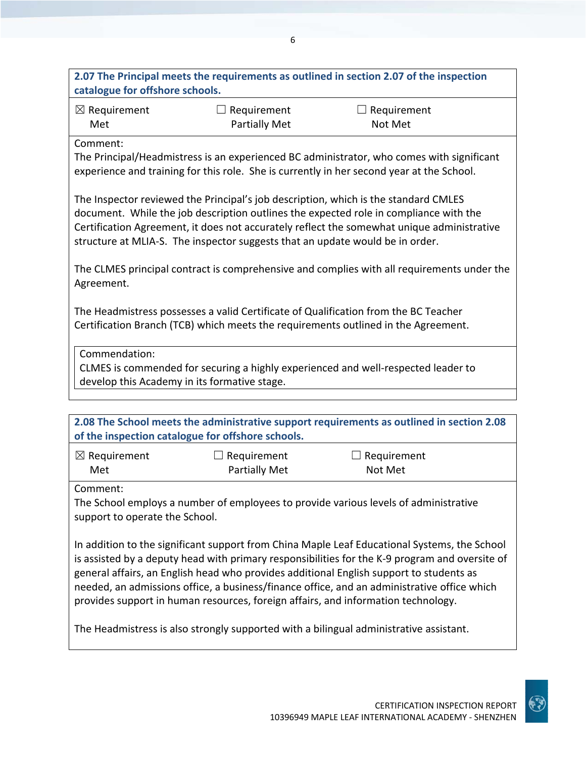| catalogue for offshore schools.                                               |                                               | 2.07 The Principal meets the requirements as outlined in section 2.07 of the inspection                                                                                                                                                                                    |
|-------------------------------------------------------------------------------|-----------------------------------------------|----------------------------------------------------------------------------------------------------------------------------------------------------------------------------------------------------------------------------------------------------------------------------|
| $\boxtimes$ Requirement<br>Met                                                | Requirement<br>$\Box$<br><b>Partially Met</b> | $\Box$ Requirement<br>Not Met                                                                                                                                                                                                                                              |
| Comment:                                                                      |                                               | The Principal/Headmistress is an experienced BC administrator, who comes with significant<br>experience and training for this role. She is currently in her second year at the School.                                                                                     |
| structure at MLIA-S. The inspector suggests that an update would be in order. |                                               | The Inspector reviewed the Principal's job description, which is the standard CMLES<br>document. While the job description outlines the expected role in compliance with the<br>Certification Agreement, it does not accurately reflect the somewhat unique administrative |
| Agreement.                                                                    |                                               | The CLMES principal contract is comprehensive and complies with all requirements under the                                                                                                                                                                                 |
|                                                                               |                                               | The Headmistress possesses a valid Certificate of Qualification from the BC Teacher<br>Certification Branch (TCB) which meets the requirements outlined in the Agreement.                                                                                                  |
| Commendation:<br>develop this Academy in its formative stage.                 |                                               | CLMES is commended for securing a highly experienced and well-respected leader to                                                                                                                                                                                          |
|                                                                               |                                               | 2.08 The School meets the administrative support requirements as outlined in section 2.08                                                                                                                                                                                  |

| of the inspection catalogue for offshore schools. |                    |                    |
|---------------------------------------------------|--------------------|--------------------|
| $\boxtimes$ Requirement                           | $\Box$ Requirement | $\Box$ Requirement |
| Met                                               | Partially Met      | Not Met            |

Comment:

The School employs a number of employees to provide various levels of administrative support to operate the School.

In addition to the significant support from China Maple Leaf Educational Systems, the School is assisted by a deputy head with primary responsibilities for the K‐9 program and oversite of general affairs, an English head who provides additional English support to students as needed, an admissions office, a business/finance office, and an administrative office which provides support in human resources, foreign affairs, and information technology.

The Headmistress is also strongly supported with a bilingual administrative assistant.

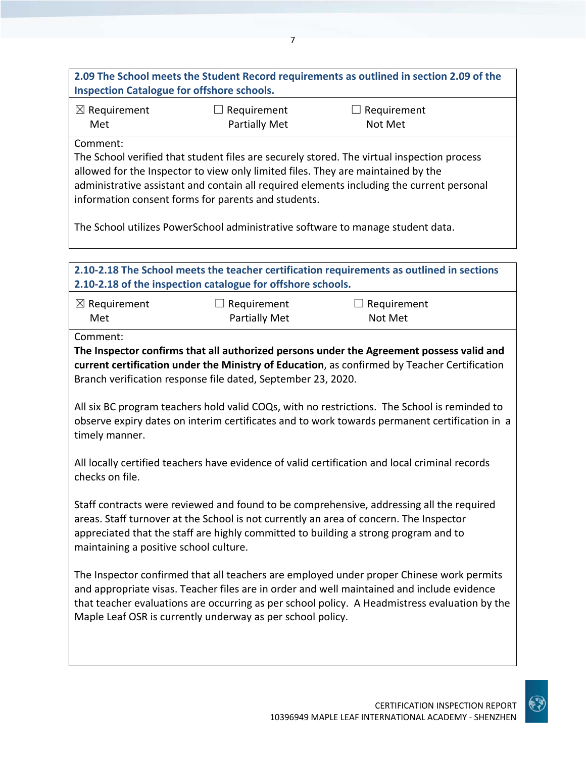**2.09 The School meets the Student Record requirements as outlined in section 2.09 of the Inspection Catalogue for offshore schools.**

| $\boxtimes$ Requirement | $\Box$ Requirement   | $\Box$ Requirement |
|-------------------------|----------------------|--------------------|
| Met                     | <b>Partially Met</b> | Not Met            |

Comment:

The School verified that student files are securely stored. The virtual inspection process allowed for the Inspector to view only limited files. They are maintained by the administrative assistant and contain all required elements including the current personal information consent forms for parents and students.

The School utilizes PowerSchool administrative software to manage student data.

| 2.10-2.18 of the inspection catalogue for offshore schools.              |                                            | 2.10-2.18 The School meets the teacher certification requirements as outlined in sections                                                                                                                                                                                               |
|--------------------------------------------------------------------------|--------------------------------------------|-----------------------------------------------------------------------------------------------------------------------------------------------------------------------------------------------------------------------------------------------------------------------------------------|
| $\boxtimes$ Requirement<br>Met                                           | $\Box$ Requirement<br><b>Partially Met</b> | Requirement<br>Not Met                                                                                                                                                                                                                                                                  |
| Comment:<br>Branch verification response file dated, September 23, 2020. |                                            | The Inspector confirms that all authorized persons under the Agreement possess valid and<br>current certification under the Ministry of Education, as confirmed by Teacher Certification                                                                                                |
| timely manner.                                                           |                                            | All six BC program teachers hold valid COQs, with no restrictions. The School is reminded to<br>observe expiry dates on interim certificates and to work towards permanent certification in a                                                                                           |
| checks on file.                                                          |                                            | All locally certified teachers have evidence of valid certification and local criminal records                                                                                                                                                                                          |
| maintaining a positive school culture.                                   |                                            | Staff contracts were reviewed and found to be comprehensive, addressing all the required<br>areas. Staff turnover at the School is not currently an area of concern. The Inspector<br>appreciated that the staff are highly committed to building a strong program and to               |
| Maple Leaf OSR is currently underway as per school policy.               |                                            | The Inspector confirmed that all teachers are employed under proper Chinese work permits<br>and appropriate visas. Teacher files are in order and well maintained and include evidence<br>that teacher evaluations are occurring as per school policy. A Headmistress evaluation by the |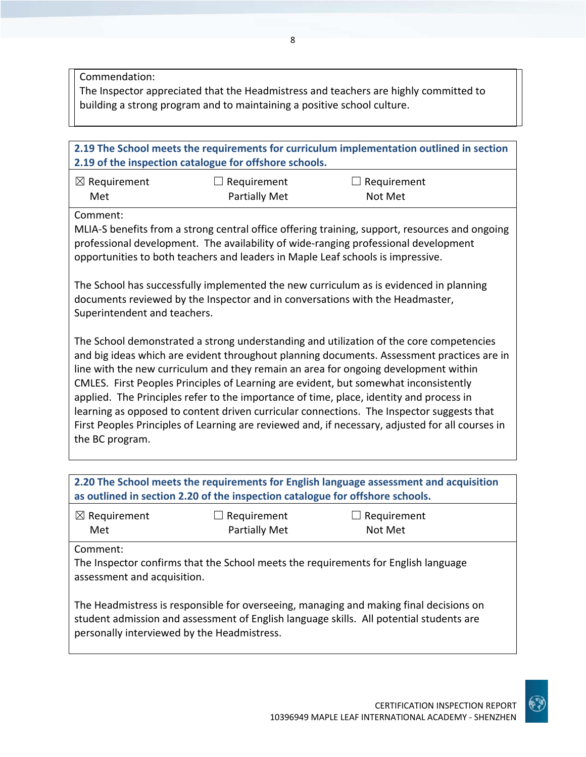Commendation:

The Inspector appreciated that the Headmistress and teachers are highly committed to building a strong program and to maintaining a positive school culture.

# **2.19 The School meets the requirements for curriculum implementation outlined in section 2.19 of the inspection catalogue for offshore schools.** ☒ Requirement Met  $\Box$  Requirement Partially Met  $\Box$  Requirement Not Met Comment: MLIA‐S benefits from a strong central office offering training, support, resources and ongoing professional development. The availability of wide-ranging professional development opportunities to both teachers and leaders in Maple Leaf schools is impressive. The School has successfully implemented the new curriculum as is evidenced in planning documents reviewed by the Inspector and in conversations with the Headmaster, Superintendent and teachers. The School demonstrated a strong understanding and utilization of the core competencies and big ideas which are evident throughout planning documents. Assessment practices are in line with the new curriculum and they remain an area for ongoing development within CMLES. First Peoples Principles of Learning are evident, but somewhat inconsistently applied. The Principles refer to the importance of time, place, identity and process in learning as opposed to content driven curricular connections. The Inspector suggests that First Peoples Principles of Learning are reviewed and, if necessary, adjusted for all courses in the BC program.

| 2.20 The School meets the requirements for English language assessment and acquisition<br>as outlined in section 2.20 of the inspection catalogue for offshore schools.                                                          |                              |                               |
|----------------------------------------------------------------------------------------------------------------------------------------------------------------------------------------------------------------------------------|------------------------------|-------------------------------|
| $\boxtimes$ Requirement<br>Met                                                                                                                                                                                                   | Requirement<br>Partially Met | $\Box$ Requirement<br>Not Met |
| Comment:<br>The Inspector confirms that the School meets the requirements for English language<br>assessment and acquisition.                                                                                                    |                              |                               |
| The Headmistress is responsible for overseeing, managing and making final decisions on<br>student admission and assessment of English language skills. All potential students are<br>personally interviewed by the Headmistress. |                              |                               |

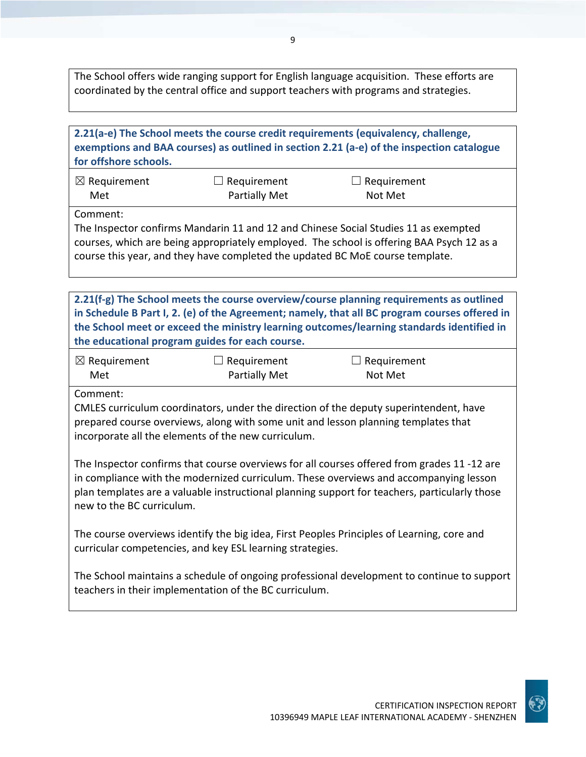The School offers wide ranging support for English language acquisition. These efforts are coordinated by the central office and support teachers with programs and strategies.

| 2.21(a-e) The School meets the course credit requirements (equivalency, challenge,<br>exemptions and BAA courses) as outlined in section 2.21 (a-e) of the inspection catalogue<br>for offshore schools.                                                                                                                                 |                                            |                               |  |  |  |
|------------------------------------------------------------------------------------------------------------------------------------------------------------------------------------------------------------------------------------------------------------------------------------------------------------------------------------------|--------------------------------------------|-------------------------------|--|--|--|
| $\boxtimes$ Requirement<br>Met                                                                                                                                                                                                                                                                                                           | $\Box$ Requirement<br><b>Partially Met</b> | $\Box$ Requirement<br>Not Met |  |  |  |
| Comment:<br>The Inspector confirms Mandarin 11 and 12 and Chinese Social Studies 11 as exempted<br>courses, which are being appropriately employed. The school is offering BAA Psych 12 as a<br>course this year, and they have completed the updated BC MoE course template.                                                            |                                            |                               |  |  |  |
| 2.21(f-g) The School meets the course overview/course planning requirements as outlined<br>in Schedule B Part I, 2. (e) of the Agreement; namely, that all BC program courses offered in<br>the School meet or exceed the ministry learning outcomes/learning standards identified in<br>the educational program guides for each course. |                                            |                               |  |  |  |
| $\boxtimes$ Requirement<br>Met                                                                                                                                                                                                                                                                                                           | $\Box$ Requirement<br><b>Partially Met</b> | $\Box$ Requirement<br>Not Met |  |  |  |
| Comment:<br>CMLES curriculum coordinators, under the direction of the deputy superintendent, have<br>prepared course overviews, along with some unit and lesson planning templates that<br>incorporate all the elements of the new curriculum.                                                                                           |                                            |                               |  |  |  |
| The Inspector confirms that course overviews for all courses offered from grades 11 -12 are<br>in compliance with the modernized curriculum. These overviews and accompanying lesson<br>plan templates are a valuable instructional planning support for teachers, particularly those<br>new to the BC curriculum.                       |                                            |                               |  |  |  |
| The course overviews identify the big idea, First Peoples Principles of Learning, core and<br>curricular competencies, and key ESL learning strategies.                                                                                                                                                                                  |                                            |                               |  |  |  |
| The School maintains a schedule of ongoing professional development to continue to support<br>teachers in their implementation of the BC curriculum.                                                                                                                                                                                     |                                            |                               |  |  |  |

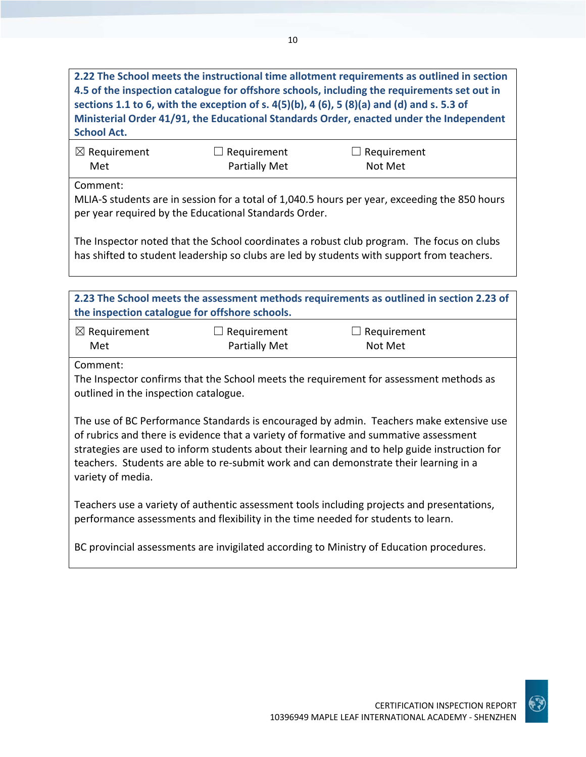**2.22 The School meets the instructional time allotment requirements as outlined in section 4.5 of the inspection catalogue for offshore schools, including the requirements set out in** sections 1.1 to 6, with the exception of s.  $4(5)(b)$ , 4 (6), 5 (8)(a) and (d) and s. 5.3 of **Ministerial Order 41/91, the Educational Standards Order, enacted under the Independent School Act.**

| $\boxtimes$ Requirement | $\Box$ Requirement | $\Box$ Requirement |
|-------------------------|--------------------|--------------------|
| Met                     | Partially Met      | Not Met            |

Comment:

MLIA‐S students are in session for a total of 1,040.5 hours per year, exceeding the 850 hours per year required by the Educational Standards Order.

The Inspector noted that the School coordinates a robust club program. The focus on clubs has shifted to student leadership so clubs are led by students with support from teachers.

**2.23 The School meets the assessment methods requirements as outlined in section 2.23 of the inspection catalogue for offshore schools.**

| $\boxtimes$ Requirement | $\Box$ Requirement   | $\Box$ Requirement |
|-------------------------|----------------------|--------------------|
| Met                     | <b>Partially Met</b> | Not Met            |

Comment:

The Inspector confirms that the School meets the requirement for assessment methods as outlined in the inspection catalogue.

The use of BC Performance Standards is encouraged by admin. Teachers make extensive use of rubrics and there is evidence that a variety of formative and summative assessment strategies are used to inform students about their learning and to help guide instruction for teachers. Students are able to re‐submit work and can demonstrate their learning in a variety of media.

Teachers use a variety of authentic assessment tools including projects and presentations, performance assessments and flexibility in the time needed for students to learn.

BC provincial assessments are invigilated according to Ministry of Education procedures.

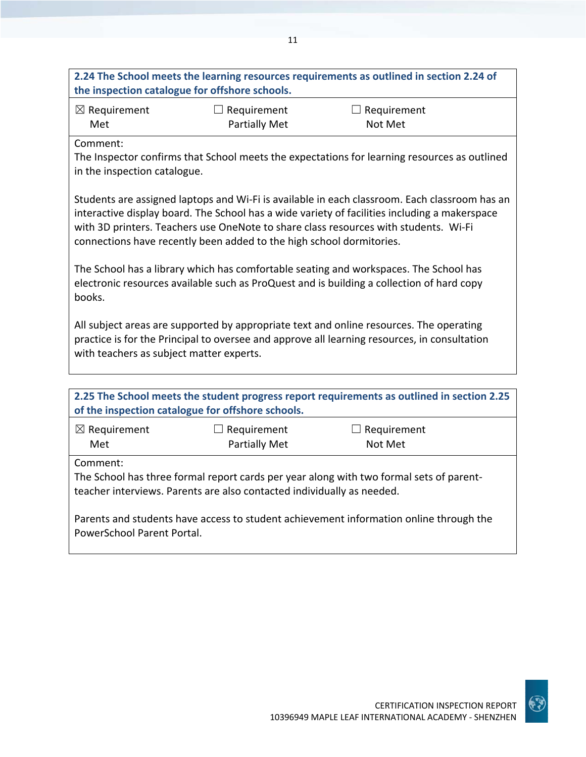| 2.24 The School meets the learning resources requirements as outlined in section 2.24 of   |                       |                                                                                                                                                                                    |  |  |  |
|--------------------------------------------------------------------------------------------|-----------------------|------------------------------------------------------------------------------------------------------------------------------------------------------------------------------------|--|--|--|
| the inspection catalogue for offshore schools.                                             |                       |                                                                                                                                                                                    |  |  |  |
| $\boxtimes$ Requirement                                                                    | $\Box$ Requirement    | $\Box$ Requirement                                                                                                                                                                 |  |  |  |
| Met                                                                                        | <b>Partially Met</b>  | Not Met                                                                                                                                                                            |  |  |  |
| Comment:                                                                                   |                       |                                                                                                                                                                                    |  |  |  |
|                                                                                            |                       | The Inspector confirms that School meets the expectations for learning resources as outlined                                                                                       |  |  |  |
| in the inspection catalogue.                                                               |                       |                                                                                                                                                                                    |  |  |  |
|                                                                                            |                       |                                                                                                                                                                                    |  |  |  |
|                                                                                            |                       | Students are assigned laptops and Wi-Fi is available in each classroom. Each classroom has an                                                                                      |  |  |  |
|                                                                                            |                       | interactive display board. The School has a wide variety of facilities including a makerspace                                                                                      |  |  |  |
|                                                                                            |                       | with 3D printers. Teachers use OneNote to share class resources with students. Wi-Fi                                                                                               |  |  |  |
| connections have recently been added to the high school dormitories.                       |                       |                                                                                                                                                                                    |  |  |  |
|                                                                                            |                       |                                                                                                                                                                                    |  |  |  |
|                                                                                            |                       | The School has a library which has comfortable seating and workspaces. The School has<br>electronic resources available such as ProQuest and is building a collection of hard copy |  |  |  |
| books.                                                                                     |                       |                                                                                                                                                                                    |  |  |  |
|                                                                                            |                       |                                                                                                                                                                                    |  |  |  |
|                                                                                            |                       | All subject areas are supported by appropriate text and online resources. The operating                                                                                            |  |  |  |
|                                                                                            |                       | practice is for the Principal to oversee and approve all learning resources, in consultation                                                                                       |  |  |  |
| with teachers as subject matter experts.                                                   |                       |                                                                                                                                                                                    |  |  |  |
|                                                                                            |                       |                                                                                                                                                                                    |  |  |  |
|                                                                                            |                       |                                                                                                                                                                                    |  |  |  |
| 2.25 The School meets the student progress report requirements as outlined in section 2.25 |                       |                                                                                                                                                                                    |  |  |  |
| of the inspection catalogue for offshore schools.                                          |                       |                                                                                                                                                                                    |  |  |  |
| $\boxtimes$ Requirement                                                                    | $\exists$ Requirement | $\Box$ Requirement                                                                                                                                                                 |  |  |  |
| Met                                                                                        | <b>Partially Met</b>  | Not Met                                                                                                                                                                            |  |  |  |
| Comment:                                                                                   |                       |                                                                                                                                                                                    |  |  |  |
| The School has three formal report cards per year along with two formal sets of parent-    |                       |                                                                                                                                                                                    |  |  |  |
| teacher interviews. Parents are also contacted individually as needed.                     |                       |                                                                                                                                                                                    |  |  |  |
|                                                                                            |                       |                                                                                                                                                                                    |  |  |  |

Parents and students have access to student achievement information online through the PowerSchool Parent Portal.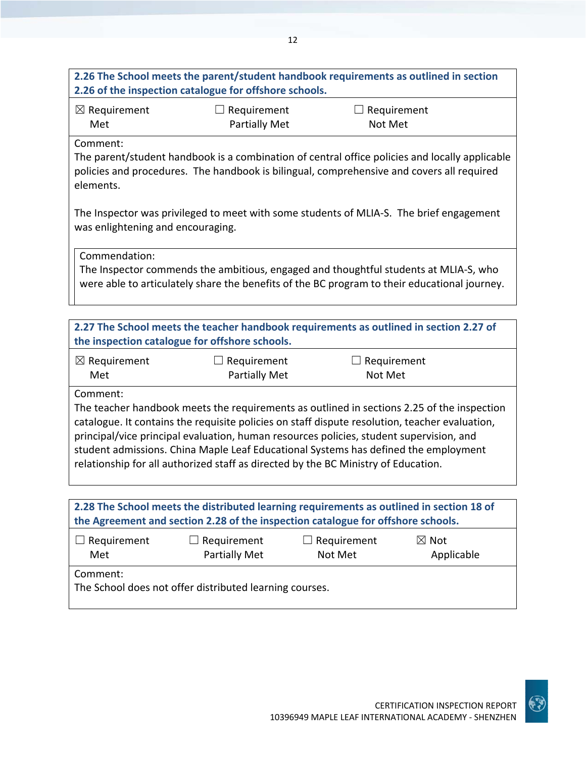# 12 **2.26 The School meets the parent/student handbook requirements as outlined in section 2.26 of the inspection catalogue for offshore schools.** ☒ Requirement Met  $\Box$  Requirement Partially Met  $\Box$  Requirement Not Met Comment: The parent/student handbook is a combination of central office policies and locally applicable policies and procedures. The handbook is bilingual, comprehensive and covers all required elements. The Inspector was privileged to meet with some students of MLIA‐S. The brief engagement was enlightening and encouraging. Commendation: The Inspector commends the ambitious, engaged and thoughtful students at MLIA‐S, who were able to articulately share the benefits of the BC program to their educational journey. **2.27 The School meets the teacher handbook requirements as outlined in section 2.27 of the inspection catalogue for offshore schools.** ☒ Requirement Met  $\Box$  Requirement Partially Met  $\Box$  Requirement Not Met Comment: The teacher handbook meets the requirements as outlined in sections 2.25 of the inspection catalogue. It contains the requisite policies on staff dispute resolution, teacher evaluation, principal/vice principal evaluation, human resources policies, student supervision, and student admissions. China Maple Leaf Educational Systems has defined the employment relationship for all authorized staff as directed by the BC Ministry of Education.

| 2.28 The School meets the distributed learning requirements as outlined in section 18 of<br>the Agreement and section 2.28 of the inspection catalogue for offshore schools. |                                     |                               |                               |  |  |  |
|------------------------------------------------------------------------------------------------------------------------------------------------------------------------------|-------------------------------------|-------------------------------|-------------------------------|--|--|--|
| $\Box$ Requirement<br>Met                                                                                                                                                    | $\Box$ Requirement<br>Partially Met | $\Box$ Requirement<br>Not Met | $\boxtimes$ Not<br>Applicable |  |  |  |
| Comment:<br>The School does not offer distributed learning courses.                                                                                                          |                                     |                               |                               |  |  |  |